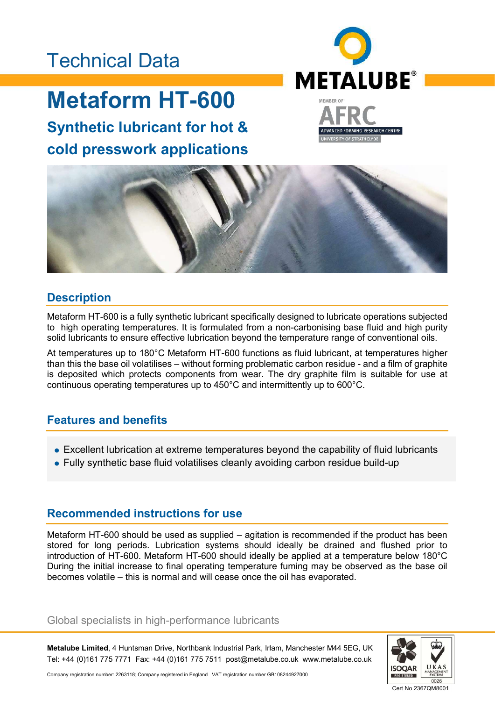# Technical Data

# Metaform HT-600

Synthetic lubricant for hot & cold presswork applications





### **Description**

Metaform HT-600 is a fully synthetic lubricant specifically designed to lubricate operations subjected to high operating temperatures. It is formulated from a non-carbonising base fluid and high purity solid lubricants to ensure effective lubrication beyond the temperature range of conventional oils.

At temperatures up to 180°C Metaform HT-600 functions as fluid lubricant, at temperatures higher than this the base oil volatilises – without forming problematic carbon residue - and a film of graphite is deposited which protects components from wear. The dry graphite film is suitable for use at continuous operating temperatures up to 450°C and intermittently up to 600°C.

## Features and benefits

- Excellent lubrication at extreme temperatures beyond the capability of fluid lubricants
- Fully synthetic base fluid volatilises cleanly avoiding carbon residue build-up

### Recommended instructions for use

Metaform HT-600 should be used as supplied – agitation is recommended if the product has been stored for long periods. Lubrication systems should ideally be drained and flushed prior to introduction of HT-600. Metaform HT-600 should ideally be applied at a temperature below 180°C During the initial increase to final operating temperature fuming may be observed as the base oil becomes volatile – this is normal and will cease once the oil has evaporated.

#### Global specialists in high-performance lubricants

Metalube Limited, 4 Huntsman Drive, Northbank Industrial Park, Irlam, Manchester M44 5EG, UK Tel: +44 (0)161 775 7771 Fax: +44 (0)161 775 7511 post@metalube.co.uk www.metalube.co.uk



Company registration number: 2263118; Company registered in England VAT registration number GB108244927000